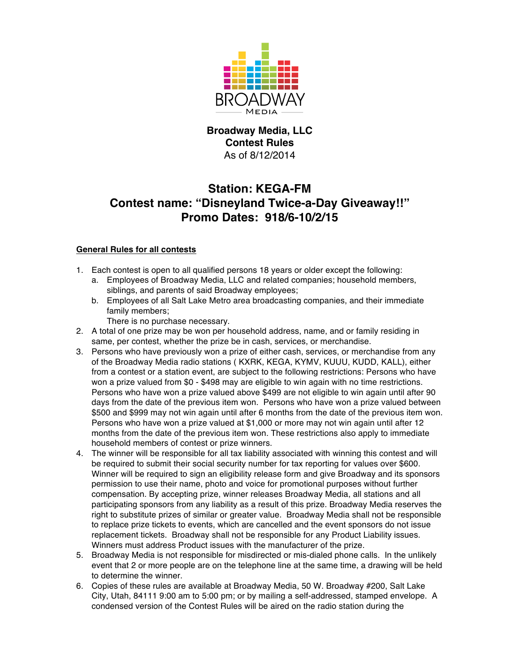

## **Broadway Media, LLC Contest Rules** As of 8/12/2014

## **Station: KEGA-FM Contest name: "Disneyland Twice-a-Day Giveaway!!" Promo Dates: 918/6-10/2/15**

## **General Rules for all contests**

- 1. Each contest is open to all qualified persons 18 years or older except the following:
	- a. Employees of Broadway Media, LLC and related companies; household members, siblings, and parents of said Broadway employees;
	- b. Employees of all Salt Lake Metro area broadcasting companies, and their immediate family members;

There is no purchase necessary.

- 2. A total of one prize may be won per household address, name, and or family residing in same, per contest, whether the prize be in cash, services, or merchandise.
- 3. Persons who have previously won a prize of either cash, services, or merchandise from any of the Broadway Media radio stations ( KXRK, KEGA, KYMV, KUUU, KUDD, KALL), either from a contest or a station event, are subject to the following restrictions: Persons who have won a prize valued from \$0 - \$498 may are eligible to win again with no time restrictions. Persons who have won a prize valued above \$499 are not eligible to win again until after 90 days from the date of the previous item won. Persons who have won a prize valued between \$500 and \$999 may not win again until after 6 months from the date of the previous item won. Persons who have won a prize valued at \$1,000 or more may not win again until after 12 months from the date of the previous item won. These restrictions also apply to immediate household members of contest or prize winners.
- 4. The winner will be responsible for all tax liability associated with winning this contest and will be required to submit their social security number for tax reporting for values over \$600. Winner will be required to sign an eligibility release form and give Broadway and its sponsors permission to use their name, photo and voice for promotional purposes without further compensation. By accepting prize, winner releases Broadway Media, all stations and all participating sponsors from any liability as a result of this prize. Broadway Media reserves the right to substitute prizes of similar or greater value. Broadway Media shall not be responsible to replace prize tickets to events, which are cancelled and the event sponsors do not issue replacement tickets. Broadway shall not be responsible for any Product Liability issues. Winners must address Product issues with the manufacturer of the prize.
- 5. Broadway Media is not responsible for misdirected or mis-dialed phone calls. In the unlikely event that 2 or more people are on the telephone line at the same time, a drawing will be held to determine the winner.
- 6. Copies of these rules are available at Broadway Media, 50 W. Broadway #200, Salt Lake City, Utah, 84111 9:00 am to 5:00 pm; or by mailing a self-addressed, stamped envelope. A condensed version of the Contest Rules will be aired on the radio station during the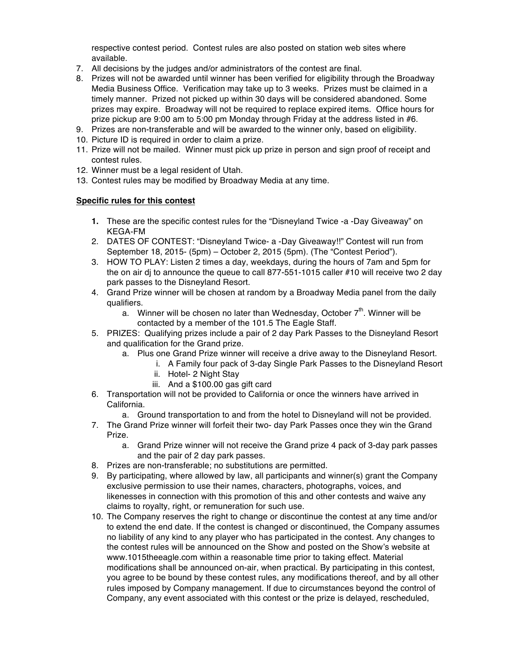respective contest period. Contest rules are also posted on station web sites where available.

- 7. All decisions by the judges and/or administrators of the contest are final.
- 8. Prizes will not be awarded until winner has been verified for eligibility through the Broadway Media Business Office. Verification may take up to 3 weeks. Prizes must be claimed in a timely manner. Prized not picked up within 30 days will be considered abandoned. Some prizes may expire. Broadway will not be required to replace expired items. Office hours for prize pickup are 9:00 am to 5:00 pm Monday through Friday at the address listed in #6.
- 9. Prizes are non-transferable and will be awarded to the winner only, based on eligibility.
- 10. Picture ID is required in order to claim a prize.
- 11. Prize will not be mailed. Winner must pick up prize in person and sign proof of receipt and contest rules.
- 12. Winner must be a legal resident of Utah.
- 13. Contest rules may be modified by Broadway Media at any time.

## **Specific rules for this contest**

- **1.** These are the specific contest rules for the "Disneyland Twice -a -Day Giveaway" on KEGA-FM
- 2. DATES OF CONTEST: "Disneyland Twice- a -Day Giveaway!!" Contest will run from September 18, 2015- (5pm) – October 2, 2015 (5pm). (The "Contest Period").
- 3. HOW TO PLAY: Listen 2 times a day, weekdays, during the hours of 7am and 5pm for the on air dj to announce the queue to call 877-551-1015 caller #10 will receive two 2 day park passes to the Disneyland Resort.
- 4. Grand Prize winner will be chosen at random by a Broadway Media panel from the daily qualifiers.
	- a. Winner will be chosen no later than Wednesday, October  $7<sup>th</sup>$ . Winner will be contacted by a member of the 101.5 The Eagle Staff.
- 5. PRIZES: Qualifying prizes include a pair of 2 day Park Passes to the Disneyland Resort and qualification for the Grand prize.
	- a. Plus one Grand Prize winner will receive a drive away to the Disneyland Resort.
		- i. A Family four pack of 3-day Single Park Passes to the Disneyland Resort
		- ii. Hotel- 2 Night Stay
		- iii. And a \$100.00 gas gift card
- 6. Transportation will not be provided to California or once the winners have arrived in California.
	- a. Ground transportation to and from the hotel to Disneyland will not be provided.
- 7. The Grand Prize winner will forfeit their two- day Park Passes once they win the Grand Prize.
	- a. Grand Prize winner will not receive the Grand prize 4 pack of 3-day park passes and the pair of 2 day park passes.
- 8. Prizes are non-transferable; no substitutions are permitted.
- 9. By participating, where allowed by law, all participants and winner(s) grant the Company exclusive permission to use their names, characters, photographs, voices, and likenesses in connection with this promotion of this and other contests and waive any claims to royalty, right, or remuneration for such use.
- 10. The Company reserves the right to change or discontinue the contest at any time and/or to extend the end date. If the contest is changed or discontinued, the Company assumes no liability of any kind to any player who has participated in the contest. Any changes to the contest rules will be announced on the Show and posted on the Show's website at www.1015theeagle.com within a reasonable time prior to taking effect. Material modifications shall be announced on-air, when practical. By participating in this contest, you agree to be bound by these contest rules, any modifications thereof, and by all other rules imposed by Company management. If due to circumstances beyond the control of Company, any event associated with this contest or the prize is delayed, rescheduled,